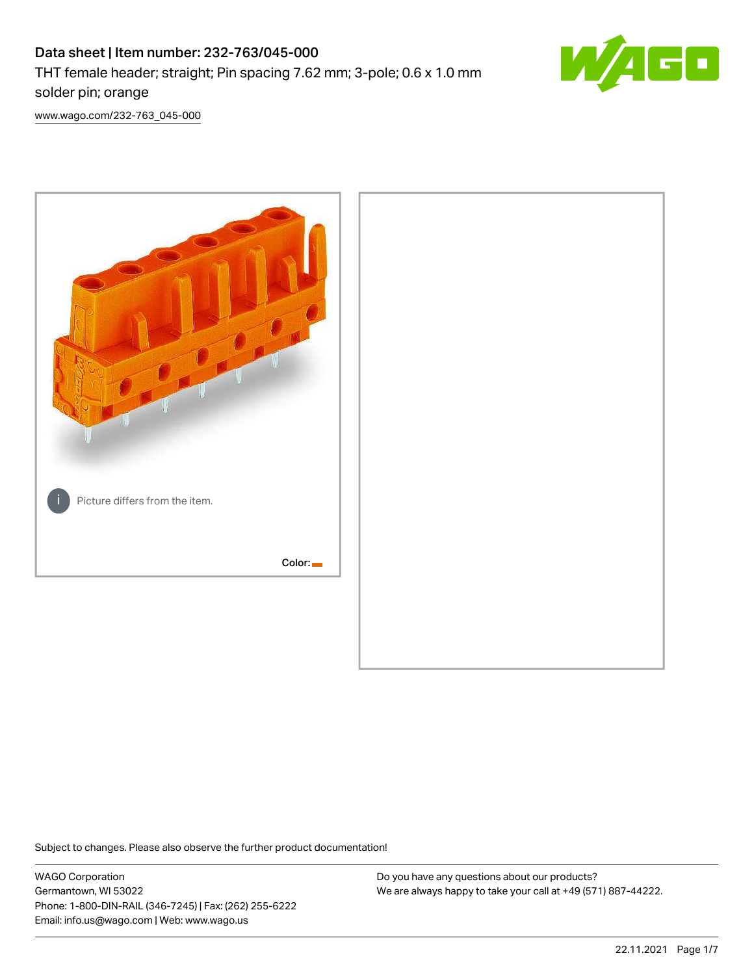# Data sheet | Item number: 232-763/045-000 THT female header; straight; Pin spacing 7.62 mm; 3-pole; 0.6 x 1.0 mm solder pin; orange



[www.wago.com/232-763\\_045-000](http://www.wago.com/232-763_045-000)



Subject to changes. Please also observe the further product documentation!

WAGO Corporation Germantown, WI 53022 Phone: 1-800-DIN-RAIL (346-7245) | Fax: (262) 255-6222 Email: info.us@wago.com | Web: www.wago.us

Do you have any questions about our products? We are always happy to take your call at +49 (571) 887-44222.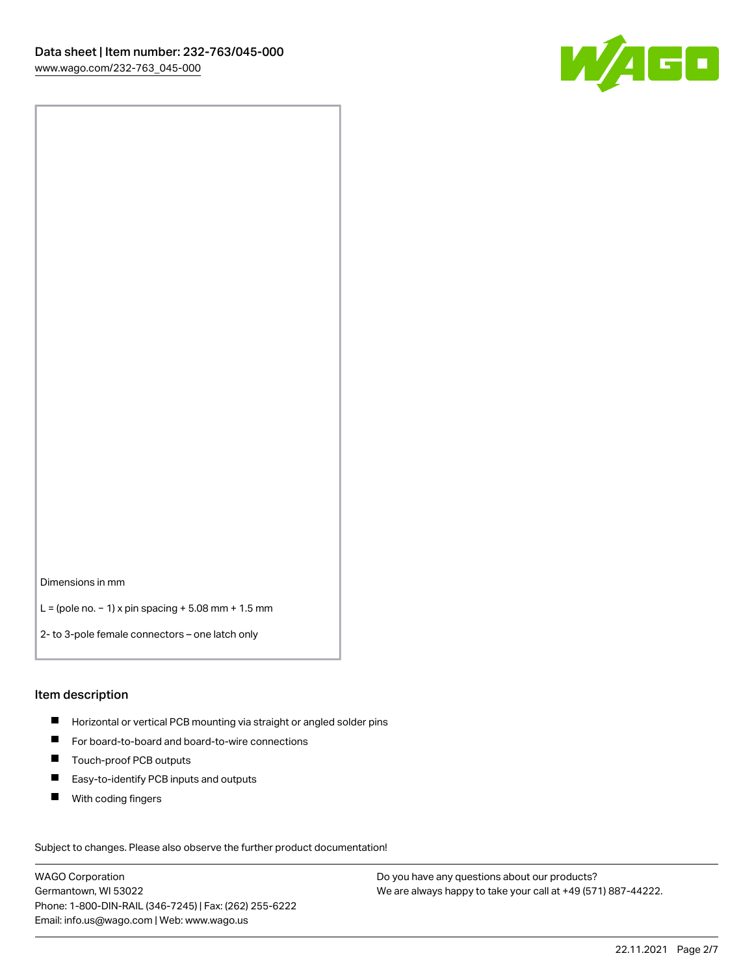

Dimensions in mm

L = (pole no. − 1) x pin spacing + 5.08 mm + 1.5 mm

2- to 3-pole female connectors – one latch only

#### Item description

- **H** Horizontal or vertical PCB mounting via straight or angled solder pins
- For board-to-board and board-to-wire connections
- Touch-proof PCB outputs  $\blacksquare$
- $\blacksquare$ Easy-to-identify PCB inputs and outputs
- $\blacksquare$ With coding fingers

Subject to changes. Please also observe the further product documentation! Data

WAGO Corporation Germantown, WI 53022 Phone: 1-800-DIN-RAIL (346-7245) | Fax: (262) 255-6222 Email: info.us@wago.com | Web: www.wago.us

Do you have any questions about our products? We are always happy to take your call at +49 (571) 887-44222.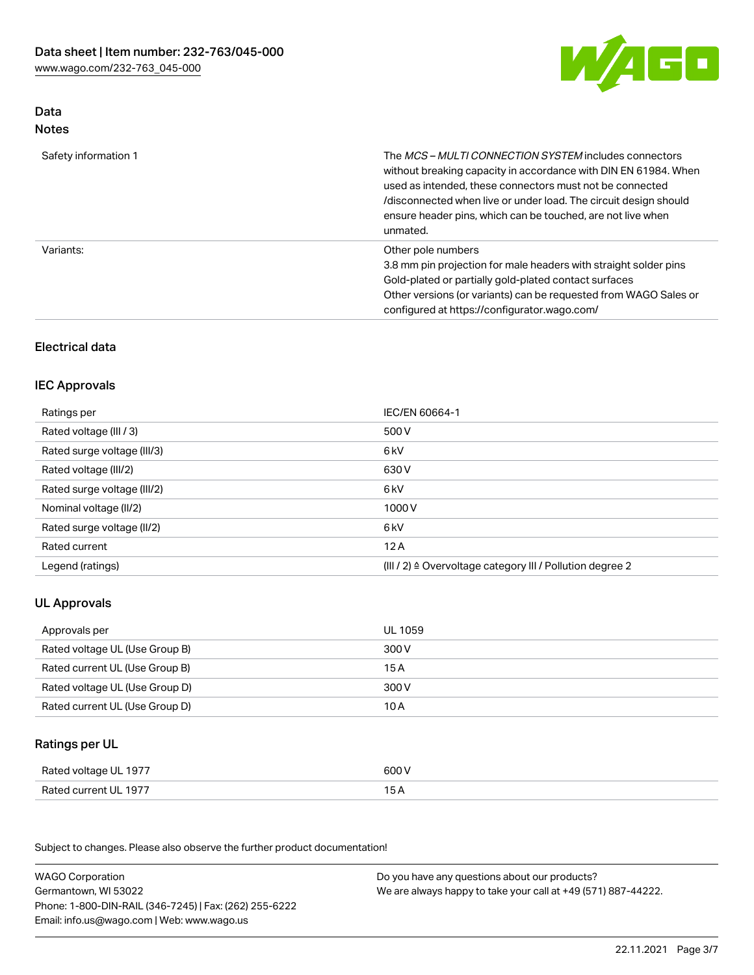

## Data Notes

| Safety information 1 | The MCS-MULTI CONNECTION SYSTEM includes connectors<br>without breaking capacity in accordance with DIN EN 61984. When<br>used as intended, these connectors must not be connected<br>/disconnected when live or under load. The circuit design should<br>ensure header pins, which can be touched, are not live when<br>unmated. |
|----------------------|-----------------------------------------------------------------------------------------------------------------------------------------------------------------------------------------------------------------------------------------------------------------------------------------------------------------------------------|
| Variants:            | Other pole numbers<br>3.8 mm pin projection for male headers with straight solder pins<br>Gold-plated or partially gold-plated contact surfaces<br>Other versions (or variants) can be requested from WAGO Sales or<br>configured at https://configurator.wago.com/                                                               |

# Electrical data

### IEC Approvals

| IEC/EN 60664-1                                                        |
|-----------------------------------------------------------------------|
| 500 V                                                                 |
| 6 <sub>kV</sub>                                                       |
| 630 V                                                                 |
| 6 <sub>kV</sub>                                                       |
| 1000V                                                                 |
| 6 <sub>kV</sub>                                                       |
| 12A                                                                   |
| $(III / 2)$ $\triangle$ Overvoltage category III / Pollution degree 2 |
|                                                                       |

# UL Approvals

| Approvals per                  | UL 1059 |
|--------------------------------|---------|
| Rated voltage UL (Use Group B) | 300 V   |
| Rated current UL (Use Group B) | 15 A    |
| Rated voltage UL (Use Group D) | 300 V   |
| Rated current UL (Use Group D) | 10 A    |

# Ratings per UL

| Rated voltage UL 1977 | 600 V |
|-----------------------|-------|
| Rated current UL 1977 |       |

Subject to changes. Please also observe the further product documentation!

| <b>WAGO Corporation</b>                                | Do you have any questions about our products?                 |
|--------------------------------------------------------|---------------------------------------------------------------|
| Germantown, WI 53022                                   | We are always happy to take your call at +49 (571) 887-44222. |
| Phone: 1-800-DIN-RAIL (346-7245)   Fax: (262) 255-6222 |                                                               |
| Email: info.us@wago.com   Web: www.wago.us             |                                                               |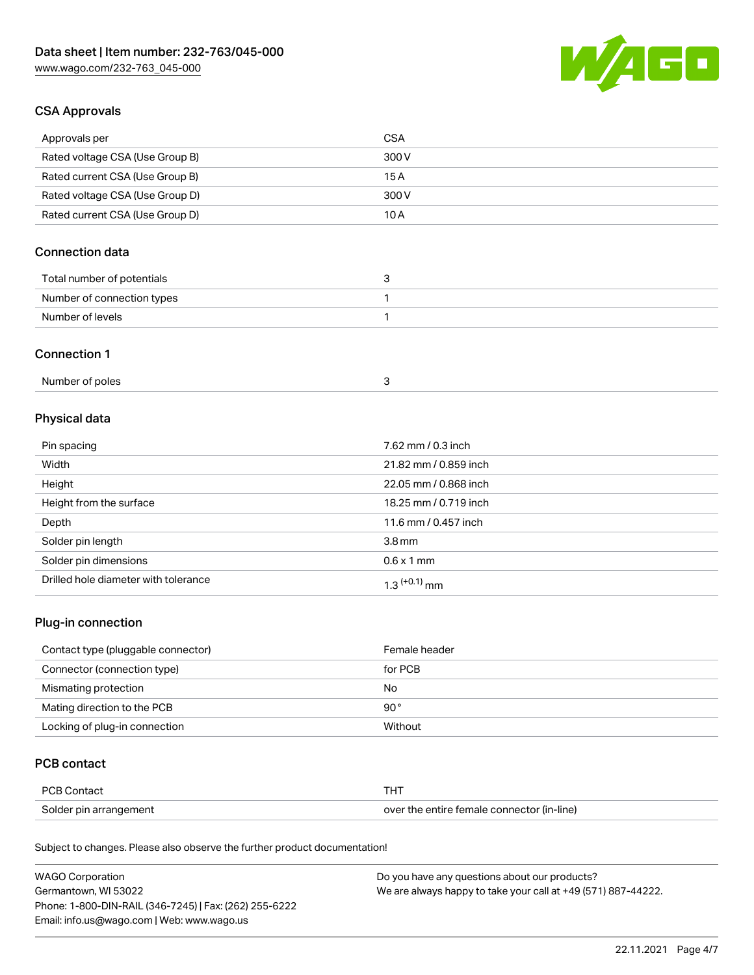

### CSA Approvals

| Approvals per                   | CSA   |
|---------------------------------|-------|
| Rated voltage CSA (Use Group B) | 300 V |
| Rated current CSA (Use Group B) | 15 A  |
| Rated voltage CSA (Use Group D) | 300 V |
| Rated current CSA (Use Group D) | 10 A  |

# Connection data

| Total number of potentials |  |
|----------------------------|--|
| Number of connection types |  |
| Number of levels           |  |

#### Connection 1

| Number of poles |  |
|-----------------|--|
|                 |  |

# Physical data

| Pin spacing                          | 7.62 mm / 0.3 inch    |
|--------------------------------------|-----------------------|
| Width                                | 21.82 mm / 0.859 inch |
| Height                               | 22.05 mm / 0.868 inch |
| Height from the surface              | 18.25 mm / 0.719 inch |
| Depth                                | 11.6 mm / 0.457 inch  |
| Solder pin length                    | 3.8 <sub>mm</sub>     |
| Solder pin dimensions                | $0.6 \times 1$ mm     |
| Drilled hole diameter with tolerance | $1.3$ $(+0.1)$ mm     |

# Plug-in connection

| Contact type (pluggable connector) | Female header |
|------------------------------------|---------------|
| Connector (connection type)        | for PCB       |
| Mismating protection               | No            |
| Mating direction to the PCB        | $90^{\circ}$  |
| Locking of plug-in connection      | Without       |

### PCB contact

| PCB Contact            | THT                                        |
|------------------------|--------------------------------------------|
| Solder pin arrangement | over the entire female connector (in-line) |

Subject to changes. Please also observe the further product documentation!

| <b>WAGO Corporation</b>                                | Do you have any questions about our products?                 |
|--------------------------------------------------------|---------------------------------------------------------------|
| Germantown, WI 53022                                   | We are always happy to take your call at +49 (571) 887-44222. |
| Phone: 1-800-DIN-RAIL (346-7245)   Fax: (262) 255-6222 |                                                               |
| Email: info.us@wago.com   Web: www.wago.us             |                                                               |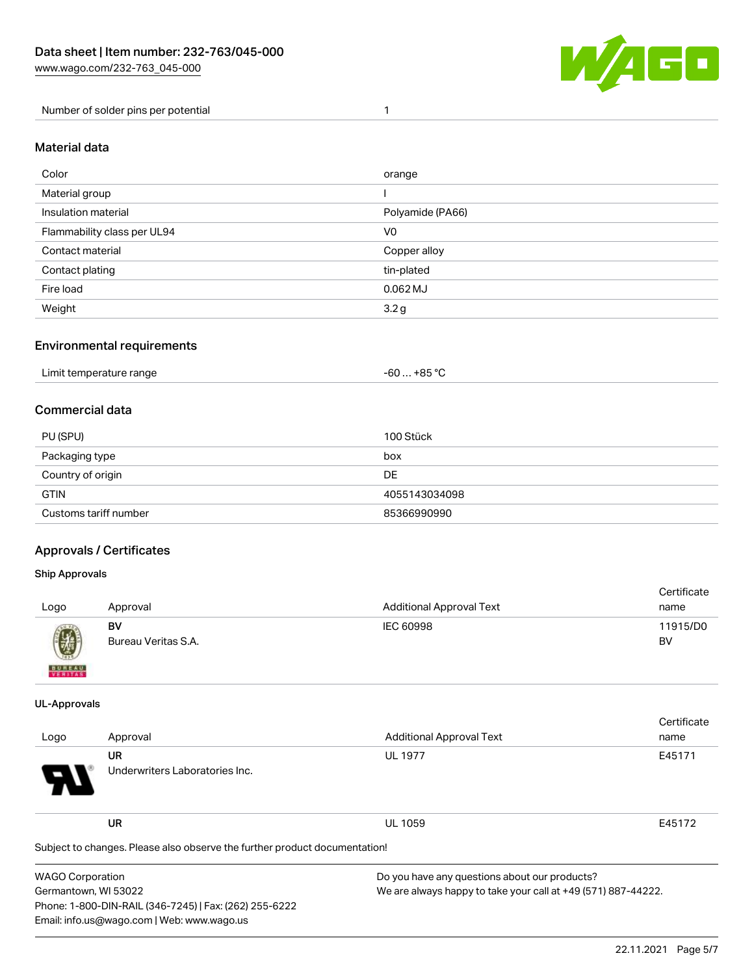

Number of solder pins per potential 1

#### Material data

| Color                       | orange           |
|-----------------------------|------------------|
| Material group              |                  |
| Insulation material         | Polyamide (PA66) |
| Flammability class per UL94 | V <sub>0</sub>   |
| Contact material            | Copper alloy     |
| Contact plating             | tin-plated       |
| Fire load                   | $0.062$ MJ       |
| Weight                      | 3.2 <sub>g</sub> |

### Environmental requirements

| Limit temperature range<br>. | . +85 °ົ<br>cn.<br>-ou |  |
|------------------------------|------------------------|--|
|------------------------------|------------------------|--|

### Commercial data

| PU (SPU)              | 100 Stück     |
|-----------------------|---------------|
| Packaging type        | box           |
| Country of origin     | <b>DE</b>     |
| <b>GTIN</b>           | 4055143034098 |
| Customs tariff number | 85366990990   |

### Approvals / Certificates

Phone: 1-800-DIN-RAIL (346-7245) | Fax: (262) 255-6222

Email: info.us@wago.com | Web: www.wago.us

#### Ship Approvals

| Logo                                                                                                                                                                                                                                                                                                                                                                                                                                                                                | Approval                  | <b>Additional Approval Text</b> | Certificate<br>name |
|-------------------------------------------------------------------------------------------------------------------------------------------------------------------------------------------------------------------------------------------------------------------------------------------------------------------------------------------------------------------------------------------------------------------------------------------------------------------------------------|---------------------------|---------------------------------|---------------------|
| $\bigcirc\!\!\!\!\! \bigcirc\!\!\!\!\! \bigcirc\!\!\!\!\! \bigcirc\!\!\!\!\! \bigcirc\!\!\!\!\! \bigcirc\!\!\!\!\! \bigcirc\!\!\!\!\! \bigcirc\!\!\!\!\! \bigcirc\!\!\!\!\! \bigcirc\!\!\!\!\! \bigcirc\!\!\!\!\! \bigcirc\!\!\!\!\! \bigcirc\!\!\!\!\! \bigcirc\!\!\!\!\! \bigcirc\!\!\!\!\! \bigcirc\!\!\!\!\! \bigcirc\!\!\!\!\! \bigcirc\!\!\!\!\! \bigcirc\!\!\!\!\! \bigcirc\!\!\!\!\! \bigcirc\!\!\!\!\! \bigcirc\!\!\!\!\! \bigcirc\!\!\!\!\! \bigcirc\!\!\!\!\! \bigcirc\$ | BV<br>Bureau Veritas S.A. | IEC 60998                       | 11915/D0<br>BV      |
| <b>BUNEAU</b>                                                                                                                                                                                                                                                                                                                                                                                                                                                                       |                           |                                 |                     |

#### UL-Approvals

|                         |                                                                            |                                                               | Certificate |  |
|-------------------------|----------------------------------------------------------------------------|---------------------------------------------------------------|-------------|--|
| Logo                    | Approval                                                                   | <b>Additional Approval Text</b>                               | name        |  |
|                         | <b>UR</b>                                                                  | <b>UL 1977</b>                                                | E45171      |  |
|                         | Underwriters Laboratories Inc.                                             |                                                               |             |  |
|                         | <b>UR</b>                                                                  | <b>UL 1059</b>                                                | E45172      |  |
|                         | Subject to changes. Please also observe the further product documentation! |                                                               |             |  |
| <b>WAGO Corporation</b> |                                                                            | Do you have any questions about our products?                 |             |  |
| Germantown, WI 53022    |                                                                            | We are always happy to take your call at +49 (571) 887-44222. |             |  |

We are always happy to take your call at +49 (571) 887-44222.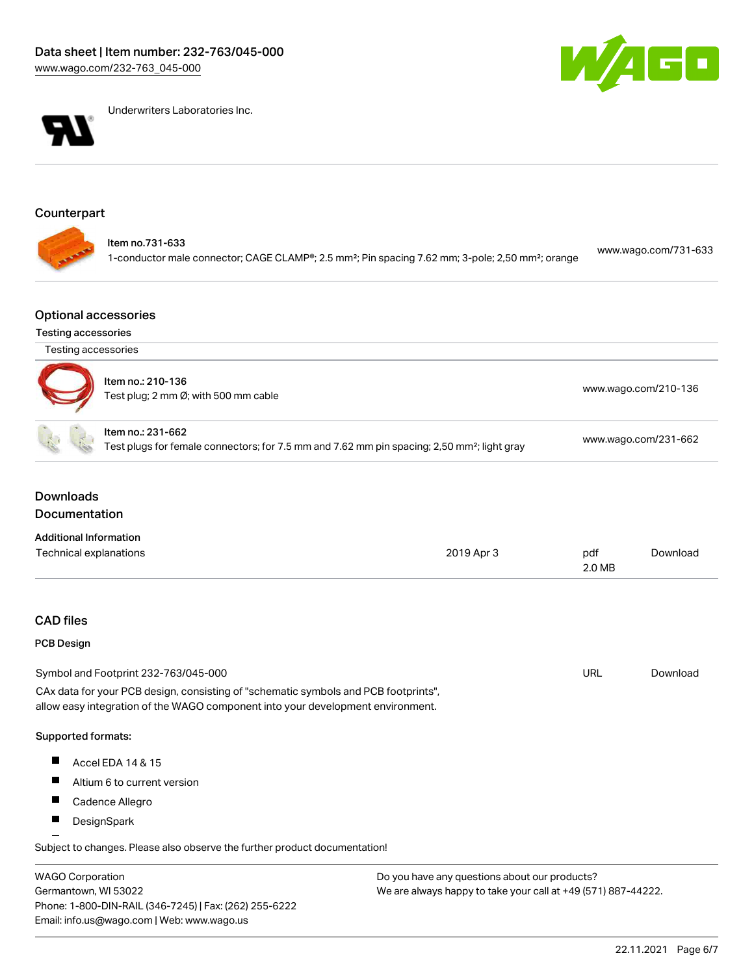



Underwriters Laboratories Inc.

# Counterpart

| ltem no.731-633<br>www.wago.com/731-633<br>1-conductor male connector; CAGE CLAMP®; 2.5 mm <sup>2</sup> ; Pin spacing 7.62 mm; 3-pole; 2,50 mm <sup>2</sup> ; orange |  |
|----------------------------------------------------------------------------------------------------------------------------------------------------------------------|--|
|----------------------------------------------------------------------------------------------------------------------------------------------------------------------|--|

### Optional accessories

### Testing accessories

Germantown, WI 53022

Phone: 1-800-DIN-RAIL (346-7245) | Fax: (262) 255-6222

Email: info.us@wago.com | Web: www.wago.us

| Testing accessories                      |                                                                                                                                                                        |                                                                                                         |                      |                      |  |
|------------------------------------------|------------------------------------------------------------------------------------------------------------------------------------------------------------------------|---------------------------------------------------------------------------------------------------------|----------------------|----------------------|--|
|                                          | Item no.: 210-136<br>Test plug; 2 mm Ø; with 500 mm cable                                                                                                              |                                                                                                         | www.wago.com/210-136 |                      |  |
|                                          | Item no.: 231-662                                                                                                                                                      | Test plugs for female connectors; for 7.5 mm and 7.62 mm pin spacing; 2,50 mm <sup>2</sup> ; light gray |                      | www.wago.com/231-662 |  |
| <b>Downloads</b><br><b>Documentation</b> |                                                                                                                                                                        |                                                                                                         |                      |                      |  |
| <b>Additional Information</b>            |                                                                                                                                                                        |                                                                                                         |                      |                      |  |
| Technical explanations                   |                                                                                                                                                                        | 2019 Apr 3                                                                                              | pdf<br>2.0 MB        | Download             |  |
| <b>CAD files</b>                         |                                                                                                                                                                        |                                                                                                         |                      |                      |  |
| <b>PCB Design</b>                        |                                                                                                                                                                        |                                                                                                         |                      |                      |  |
|                                          | Symbol and Footprint 232-763/045-000                                                                                                                                   |                                                                                                         | <b>URL</b>           | Download             |  |
|                                          | CAx data for your PCB design, consisting of "schematic symbols and PCB footprints",<br>allow easy integration of the WAGO component into your development environment. |                                                                                                         |                      |                      |  |
| Supported formats:                       |                                                                                                                                                                        |                                                                                                         |                      |                      |  |
|                                          | Accel EDA 14 & 15                                                                                                                                                      |                                                                                                         |                      |                      |  |
|                                          | Altium 6 to current version                                                                                                                                            |                                                                                                         |                      |                      |  |
|                                          | Cadence Allegro                                                                                                                                                        |                                                                                                         |                      |                      |  |
| ш                                        | DesignSpark                                                                                                                                                            |                                                                                                         |                      |                      |  |
|                                          | Subject to changes. Please also observe the further product documentation!                                                                                             |                                                                                                         |                      |                      |  |
| <b>WAGO Corporation</b>                  |                                                                                                                                                                        | Do you have any questions about our products?                                                           |                      |                      |  |

We are always happy to take your call at +49 (571) 887-44222.